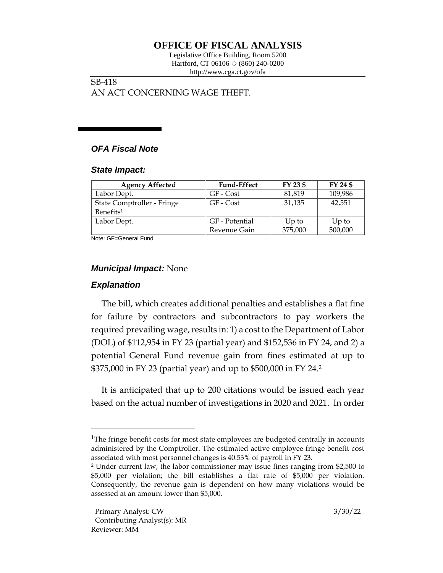# **OFFICE OF FISCAL ANALYSIS**

Legislative Office Building, Room 5200 Hartford, CT 06106  $\Diamond$  (860) 240-0200 http://www.cga.ct.gov/ofa

### SB-418 AN ACT CONCERNING WAGE THEFT.

# *OFA Fiscal Note*

#### *State Impact:*

| <b>Agency Affected</b>     | <b>Fund-Effect</b> | FY 23 \$ | FY 24 \$ |
|----------------------------|--------------------|----------|----------|
| Labor Dept.                | GF - Cost          | 81,819   | 109,986  |
| State Comptroller - Fringe | GF - Cost          | 31,135   | 42,551   |
| Benefits <sup>1</sup>      |                    |          |          |
| Labor Dept.                | GF - Potential     | $Up$ to  | $Up$ to  |
|                            | Revenue Gain       | 375,000  | 500,000  |

Note: GF=General Fund

# *Municipal Impact:* None

# *Explanation*

The bill, which creates additional penalties and establishes a flat fine for failure by contractors and subcontractors to pay workers the required prevailing wage, results in: 1) a cost to the Department of Labor (DOL) of \$112,954 in FY 23 (partial year) and \$152,536 in FY 24, and 2) a potential General Fund revenue gain from fines estimated at up to \$375,000 in FY 23 (partial year) and up to \$500,000 in FY 24.<sup>2</sup>

It is anticipated that up to 200 citations would be issued each year based on the actual number of investigations in 2020 and 2021. In order

<sup>&</sup>lt;sup>1</sup>The fringe benefit costs for most state employees are budgeted centrally in accounts administered by the Comptroller. The estimated active employee fringe benefit cost associated with most personnel changes is 40.53% of payroll in FY 23.

<sup>2</sup> Under current law, the labor commissioner may issue fines ranging from \$2,500 to \$5,000 per violation; the bill establishes a flat rate of \$5,000 per violation. Consequently, the revenue gain is dependent on how many violations would be assessed at an amount lower than \$5,000.